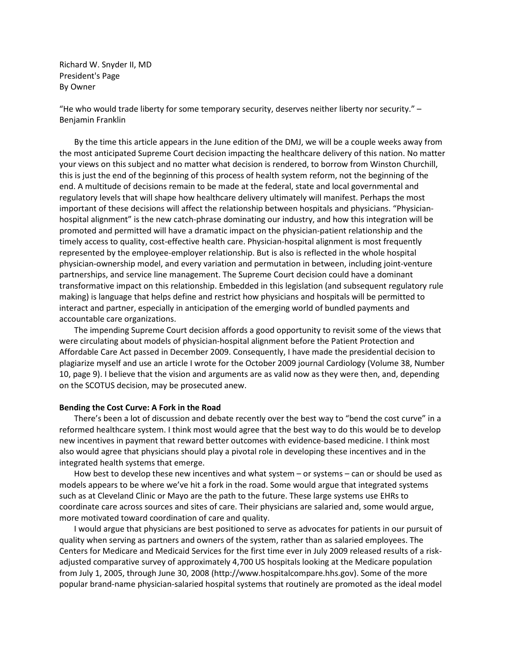Richard W. Snyder II, MD President's Page By Owner

"He who would trade liberty for some temporary security, deserves neither liberty nor security." – Benjamin Franklin

By the time this article appears in the June edition of the DMJ, we will be a couple weeks away from the most anticipated Supreme Court decision impacting the healthcare delivery of this nation. No matter your views on this subject and no matter what decision is rendered, to borrow from Winston Churchill, this is just the end of the beginning of this process of health system reform, not the beginning of the end. A multitude of decisions remain to be made at the federal, state and local governmental and regulatory levels that will shape how healthcare delivery ultimately will manifest. Perhaps the most important of these decisions will affect the relationship between hospitals and physicians. "Physicianhospital alignment" is the new catch-phrase dominating our industry, and how this integration will be promoted and permitted will have a dramatic impact on the physician-patient relationship and the timely access to quality, cost-effective health care. Physician-hospital alignment is most frequently represented by the employee-employer relationship. But is also is reflected in the whole hospital physician-ownership model, and every variation and permutation in between, including joint-venture partnerships, and service line management. The Supreme Court decision could have a dominant transformative impact on this relationship. Embedded in this legislation (and subsequent regulatory rule making) is language that helps define and restrict how physicians and hospitals will be permitted to interact and partner, especially in anticipation of the emerging world of bundled payments and accountable care organizations.

The impending Supreme Court decision affords a good opportunity to revisit some of the views that were circulating about models of physician-hospital alignment before the Patient Protection and Affordable Care Act passed in December 2009. Consequently, I have made the presidential decision to plagiarize myself and use an article I wrote for the October 2009 journal Cardiology (Volume 38, Number 10, page 9). I believe that the vision and arguments are as valid now as they were then, and, depending on the SCOTUS decision, may be prosecuted anew.

## **Bending the Cost Curve: A Fork in the Road**

There's been a lot of discussion and debate recently over the best way to "bend the cost curve" in a reformed healthcare system. I think most would agree that the best way to do this would be to develop new incentives in payment that reward better outcomes with evidence-based medicine. I think most also would agree that physicians should play a pivotal role in developing these incentives and in the integrated health systems that emerge.

How best to develop these new incentives and what system – or systems – can or should be used as models appears to be where we've hit a fork in the road. Some would argue that integrated systems such as at Cleveland Clinic or Mayo are the path to the future. These large systems use EHRs to coordinate care across sources and sites of care. Their physicians are salaried and, some would argue, more motivated toward coordination of care and quality.

I would argue that physicians are best positioned to serve as advocates for patients in our pursuit of quality when serving as partners and owners of the system, rather than as salaried employees. The Centers for Medicare and Medicaid Services for the first time ever in July 2009 released results of a riskadjusted comparative survey of approximately 4,700 US hospitals looking at the Medicare population from July 1, 2005, through June 30, 2008 (http://www.hospitalcompare.hhs.gov). Some of the more popular brand-name physician-salaried hospital systems that routinely are promoted as the ideal model